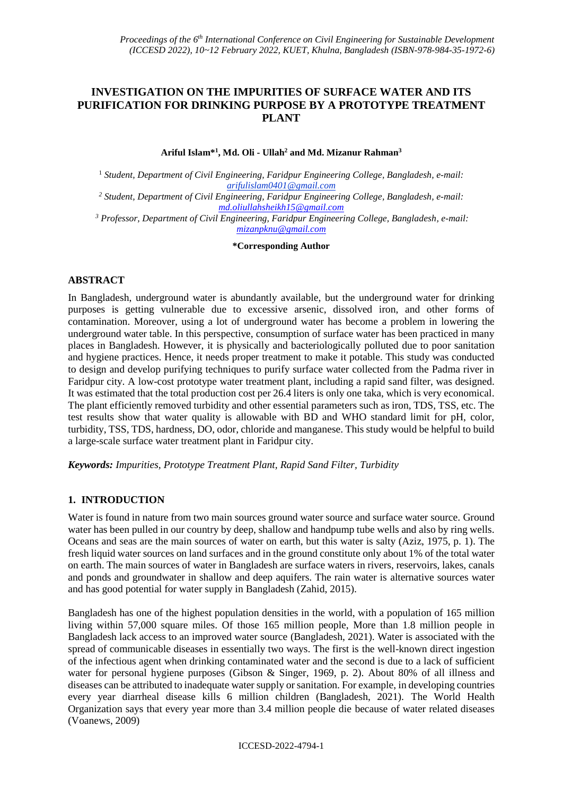# **INVESTIGATION ON THE IMPURITIES OF SURFACE WATER AND ITS PURIFICATION FOR DRINKING PURPOSE BY A PROTOTYPE TREATMENT PLANT**

**Ariful Islam\* 1 , Md. Oli - Ullah<sup>2</sup> and Md. Mizanur Rahman<sup>3</sup>**

<sup>1</sup> *Student, Department of Civil Engineering, Faridpur Engineering College, Bangladesh, e-mail: arifulislam0401@gmail.com*

*<sup>2</sup> Student, Department of Civil Engineering, Faridpur Engineering College, Bangladesh, e-mail: [md.oliullahsheikh15@gmail.com](mailto:md.oliullahsheikh15@gmail.com)*

*<sup>3</sup> Professor, Department of Civil Engineering, Faridpur Engineering College, Bangladesh, e-mail: [mizanpknu@gmail.com](mailto:mizanpknu@gmail.com)*

**\*Corresponding Author**

### **ABSTRACT**

In Bangladesh, underground water is abundantly available, but the underground water for drinking purposes is getting vulnerable due to excessive arsenic, dissolved iron, and other forms of contamination. Moreover, using a lot of underground water has become a problem in lowering the underground water table. In this perspective, consumption of surface water has been practiced in many places in Bangladesh. However, it is physically and bacteriologically polluted due to poor sanitation and hygiene practices. Hence, it needs proper treatment to make it potable. This study was conducted to design and develop purifying techniques to purify surface water collected from the Padma river in Faridpur city. A low-cost prototype water treatment plant, including a rapid sand filter, was designed. It was estimated that the total production cost per 26.4 liters is only one taka, which is very economical. The plant efficiently removed turbidity and other essential parameters such as iron, TDS, TSS, etc. The test results show that water quality is allowable with BD and WHO standard limit for pH, color, turbidity, TSS, TDS, hardness, DO, odor, chloride and manganese. This study would be helpful to build a large-scale surface water treatment plant in Faridpur city.

*Keywords: Impurities, Prototype Treatment Plant, Rapid Sand Filter, Turbidity*

### **1. INTRODUCTION**

Water is found in nature from two main sources ground water source and surface water source. Ground water has been pulled in our country by deep, shallow and handpump tube wells and also by ring wells. Oceans and seas are the main sources of water on earth, but this water is salty (Aziz, 1975, p. 1). The fresh liquid water sources on land surfaces and in the ground constitute only about 1% of the total water on earth. The main sources of water in Bangladesh are surface waters in rivers, reservoirs, lakes, canals and ponds and groundwater in shallow and deep aquifers. The rain water is alternative sources water and has good potential for water supply in Bangladesh (Zahid, 2015).

Bangladesh has one of the highest population densities in the world, with a population of 165 million living within 57,000 square miles. Of those 165 million people, More than 1.8 million people in Bangladesh lack access to an improved water source (Bangladesh, 2021). Water is associated with the spread of communicable diseases in essentially two ways. The first is the well-known direct ingestion of the infectious agent when drinking contaminated water and the second is due to a lack of sufficient water for personal hygiene purposes (Gibson & Singer, 1969, p. 2). About 80% of all illness and diseases can be attributed to inadequate water supply or sanitation. For example, in developing countries every year diarrheal disease kills 6 million children (Bangladesh, 2021). The World Health Organization says that every year more than 3.4 million people die because of water related diseases (Voanews, 2009)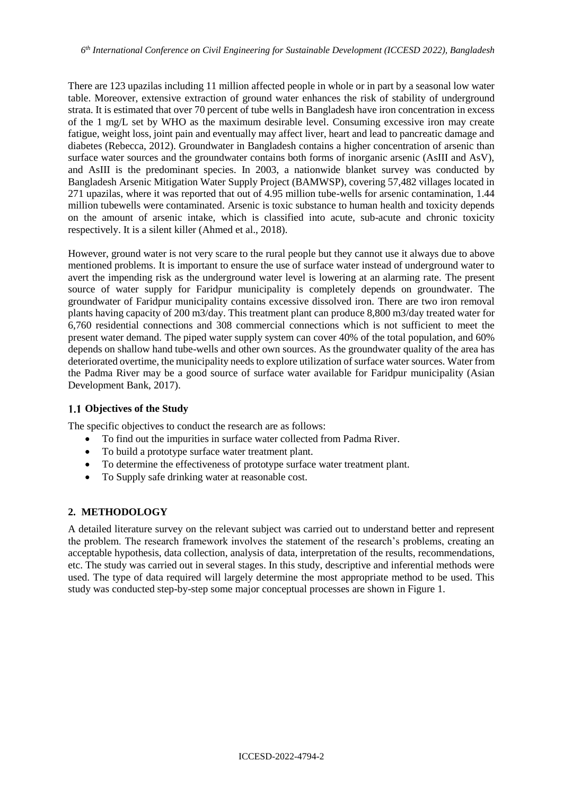There are 123 upazilas including 11 million affected people in whole or in part by a seasonal low water table. Moreover, extensive extraction of ground water enhances the risk of stability of underground strata. It is estimated that over 70 percent of tube wells in Bangladesh have iron concentration in excess of the 1 mg/L set by WHO as the maximum desirable level. Consuming excessive iron may create fatigue, weight loss, joint pain and eventually may affect liver, heart and lead to pancreatic damage and diabetes (Rebecca, 2012). Groundwater in Bangladesh contains a higher concentration of arsenic than surface water sources and the groundwater contains both forms of inorganic arsenic (AsIII and AsV), and AsIII is the predominant species. In 2003, a nationwide blanket survey was conducted by Bangladesh Arsenic Mitigation Water Supply Project (BAMWSP), covering 57,482 villages located in 271 upazilas, where it was reported that out of 4.95 million tube-wells for arsenic contamination, 1.44 million tubewells were contaminated. Arsenic is toxic substance to human health and toxicity depends on the amount of arsenic intake, which is classified into acute, sub-acute and chronic toxicity respectively. It is a silent killer (Ahmed et al., 2018).

However, ground water is not very scare to the rural people but they cannot use it always due to above mentioned problems. It is important to ensure the use of surface water instead of underground water to avert the impending risk as the underground water level is lowering at an alarming rate. The present source of water supply for Faridpur municipality is completely depends on groundwater. The groundwater of Faridpur municipality contains excessive dissolved iron. There are two iron removal plants having capacity of 200 m3/day. This treatment plant can produce 8,800 m3/day treated water for 6,760 residential connections and 308 commercial connections which is not sufficient to meet the present water demand. The piped water supply system can cover 40% of the total population, and 60% depends on shallow hand tube-wells and other own sources. As the groundwater quality of the area has deteriorated overtime, the municipality needs to explore utilization of surface water sources. Water from the Padma River may be a good source of surface water available for Faridpur municipality (Asian Development Bank, 2017).

#### **Objectives of the Study**

The specific objectives to conduct the research are as follows:

- To find out the impurities in surface water collected from Padma River.
- To build a prototype surface water treatment plant.
- To determine the effectiveness of prototype surface water treatment plant.
- To Supply safe drinking water at reasonable cost.

#### **2. METHODOLOGY**

A detailed literature survey on the relevant subject was carried out to understand better and represent the problem. The research framework involves the statement of the research's problems, creating an acceptable hypothesis, data collection, analysis of data, interpretation of the results, recommendations, etc. The study was carried out in several stages. In this study, descriptive and inferential methods were used. The type of data required will largely determine the most appropriate method to be used. This study was conducted step-by-step some major conceptual processes are shown in Figure 1.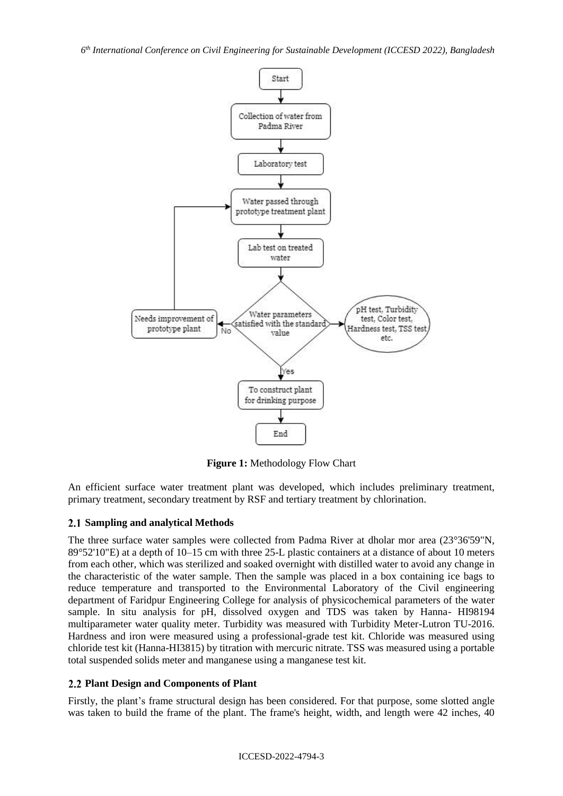*6 th International Conference on Civil Engineering for Sustainable Development (ICCESD 2022), Bangladesh*



**Figure 1:** Methodology Flow Chart

An efficient surface water treatment plant was developed, which includes preliminary treatment, primary treatment, secondary treatment by RSF and tertiary treatment by chlorination.

### **Sampling and analytical Methods**

The three surface water samples were collected from Padma River at dholar mor area (23°36'59"N, 89°52'10"E) at a depth of 10–15 cm with three 25-L plastic containers at a distance of about 10 meters from each other, which was sterilized and soaked overnight with distilled water to avoid any change in the characteristic of the water sample. Then the sample was placed in a box containing ice bags to reduce temperature and transported to the Environmental Laboratory of the Civil engineering department of Faridpur Engineering College for analysis of physicochemical parameters of the water sample. In situ analysis for pH, dissolved oxygen and TDS was taken by Hanna- HI98194 multiparameter water quality meter. Turbidity was measured with Turbidity Meter-Lutron TU-2016. Hardness and iron were measured using a professional-grade test kit. Chloride was measured using chloride test kit (Hanna-HI3815) by titration with mercuric nitrate. TSS was measured using a portable total suspended solids meter and manganese using a manganese test kit.

### **Plant Design and Components of Plant**

Firstly, the plant's frame structural design has been considered. For that purpose, some slotted angle was taken to build the frame of the plant. The frame's height, width, and length were 42 inches, 40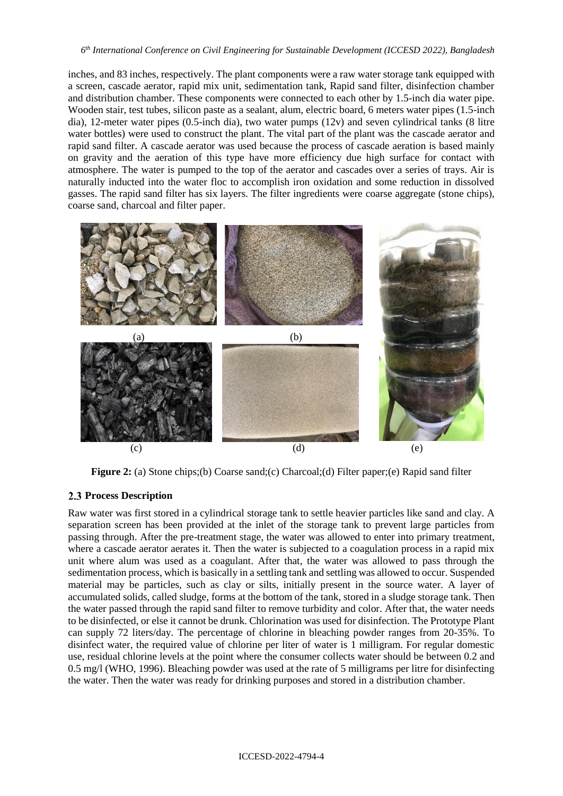inches, and 83 inches, respectively. The plant components were a raw water storage tank equipped with a screen, cascade aerator, rapid mix unit, sedimentation tank, Rapid sand filter, disinfection chamber and distribution chamber. These components were connected to each other by 1.5-inch dia water pipe. Wooden stair, test tubes, silicon paste as a sealant, alum, electric board, 6 meters water pipes (1.5-inch dia), 12-meter water pipes (0.5-inch dia), two water pumps (12v) and seven cylindrical tanks (8 litre water bottles) were used to construct the plant. The vital part of the plant was the cascade aerator and rapid sand filter. A cascade aerator was used because the process of cascade aeration is based mainly on gravity and the aeration of this type have more efficiency due high surface for contact with atmosphere. The water is pumped to the top of the aerator and cascades over a series of trays. Air is naturally inducted into the water floc to accomplish iron oxidation and some reduction in dissolved gasses. The rapid sand filter has six layers. The filter ingredients were coarse aggregate (stone chips), coarse sand, charcoal and filter paper.



**Figure 2:** (a) Stone chips;(b) Coarse sand;(c) Charcoal;(d) Filter paper;(e) Rapid sand filter

#### **Process Description**

Raw water was first stored in a cylindrical storage tank to settle heavier particles like sand and clay. A separation screen has been provided at the inlet of the storage tank to prevent large particles from passing through. After the pre-treatment stage, the water was allowed to enter into primary treatment, where a cascade aerator aerates it. Then the water is subjected to a coagulation process in a rapid mix unit where alum was used as a coagulant. After that, the water was allowed to pass through the sedimentation process, which is basically in a settling tank and settling was allowed to occur. Suspended material may be particles, such as clay or silts, initially present in the source water. A layer of accumulated solids, called sludge, forms at the bottom of the tank, stored in a sludge storage tank. Then the water passed through the rapid sand filter to remove turbidity and color. After that, the water needs to be disinfected, or else it cannot be drunk. Chlorination was used for disinfection. The Prototype Plant can supply 72 liters/day. The percentage of chlorine in bleaching powder ranges from 20-35%. To disinfect water, the required value of chlorine per liter of water is 1 milligram. For regular domestic use, residual chlorine levels at the point where the consumer collects water should be between 0.2 and 0.5 mg/l (WHO, 1996). Bleaching powder was used at the rate of 5 milligrams per litre for disinfecting the water. Then the water was ready for drinking purposes and stored in a distribution chamber.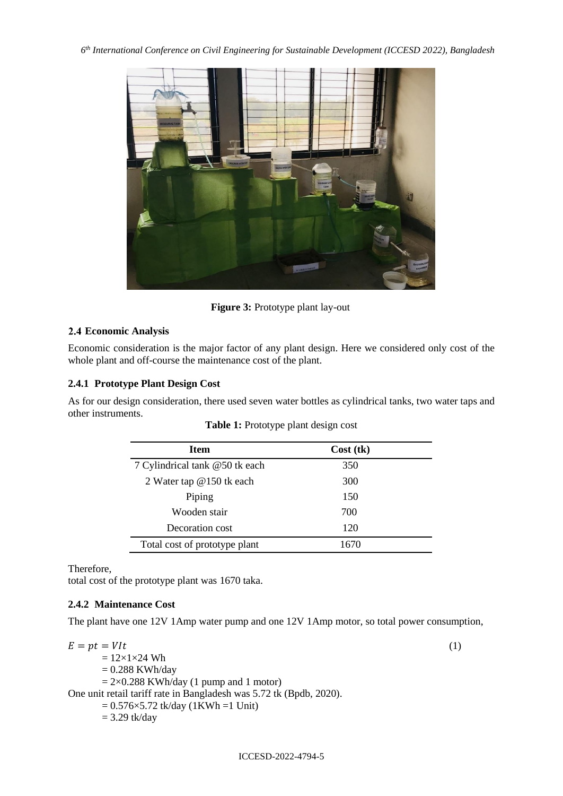![](_page_4_Picture_1.jpeg)

**Figure 3:** Prototype plant lay-out

### **Economic Analysis**

Economic consideration is the major factor of any plant design. Here we considered only cost of the whole plant and off-course the maintenance cost of the plant.

### **2.4.1 Prototype Plant Design Cost**

As for our design consideration, there used seven water bottles as cylindrical tanks, two water taps and other instruments.

| <b>Item</b>                    | Cost (tk) |  |
|--------------------------------|-----------|--|
| 7 Cylindrical tank @50 tk each | 350       |  |
| 2 Water tap @150 tk each       | 300       |  |
| Piping                         | 150       |  |
| Wooden stair                   | 700       |  |
| Decoration cost                | 120       |  |
| Total cost of prototype plant  | 1670      |  |

## **Table 1:** Prototype plant design cost

Therefore,

total cost of the prototype plant was 1670 taka.

### **2.4.2 Maintenance Cost**

The plant have one 12V 1Amp water pump and one 12V 1Amp motor, so total power consumption,

ICCESD-2022-4794-5

 $E = pt = VIt$  (1)  $= 12 \times 1 \times 24$  Wh  $= 0.288$  KWh/day  $= 2 \times 0.288$  KWh/day (1 pump and 1 motor) One unit retail tariff rate in Bangladesh was 5.72 tk (Bpdb, 2020).  $= 0.576 \times 5.72$  tk/day (1KWh =1 Unit)  $= 3.29$  tk/day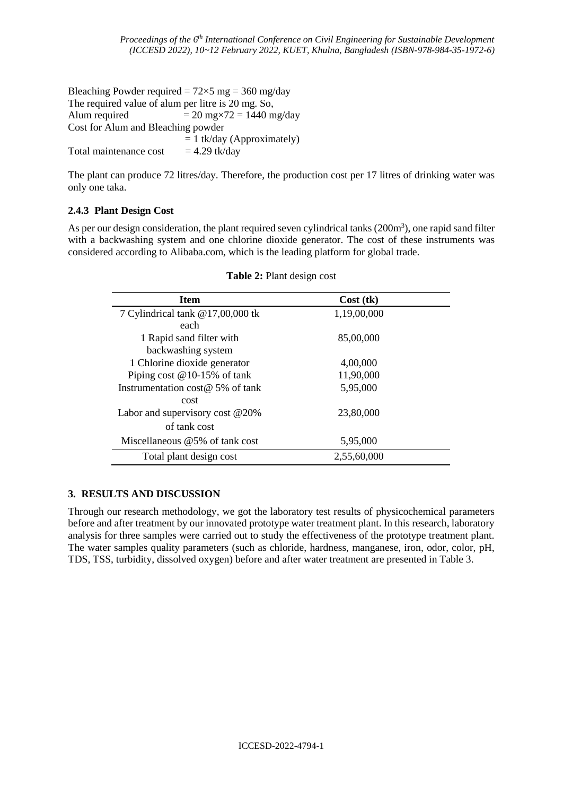Bleaching Powder required =  $72 \times 5$  mg = 360 mg/day The required value of alum per litre is 20 mg. So, Alum required  $= 20$  mg $\times$ 72 = 1440 mg/day Cost for Alum and Bleaching powder  $= 1$  tk/day (Approximately) Total maintenance cost  $= 4.29$  tk/day

The plant can produce 72 litres/day. Therefore, the production cost per 17 litres of drinking water was only one taka.

### **2.4.3 Plant Design Cost**

As per our design consideration, the plant required seven cylindrical tanks (200m<sup>3</sup>), one rapid sand filter with a backwashing system and one chlorine dioxide generator. The cost of these instruments was considered according to Alibaba.com, which is the leading platform for global trade.

| <b>Item</b>                         | Cost (tk)   |  |  |
|-------------------------------------|-------------|--|--|
| 7 Cylindrical tank @17,00,000 tk    | 1,19,00,000 |  |  |
| each                                |             |  |  |
| 1 Rapid sand filter with            | 85,00,000   |  |  |
| backwashing system                  |             |  |  |
| 1 Chlorine dioxide generator        | 4,00,000    |  |  |
| Piping cost $@10-15\%$ of tank      | 11,90,000   |  |  |
| Instrumentation cost $@$ 5% of tank | 5,95,000    |  |  |
| cost                                |             |  |  |
| Labor and supervisory cost @20%     | 23,80,000   |  |  |
| of tank cost                        |             |  |  |
| Miscellaneous @5% of tank cost      | 5,95,000    |  |  |
| Total plant design cost             | 2,55,60,000 |  |  |

**Table 2:** Plant design cost

### **3. RESULTS AND DISCUSSION**

Through our research methodology, we got the laboratory test results of physicochemical parameters before and after treatment by our innovated prototype water treatment plant. In this research, laboratory analysis for three samples were carried out to study the effectiveness of the prototype treatment plant. The water samples quality parameters (such as chloride, hardness, manganese, iron, odor, color, pH, TDS, TSS, turbidity, dissolved oxygen) before and after water treatment are presented in Table 3.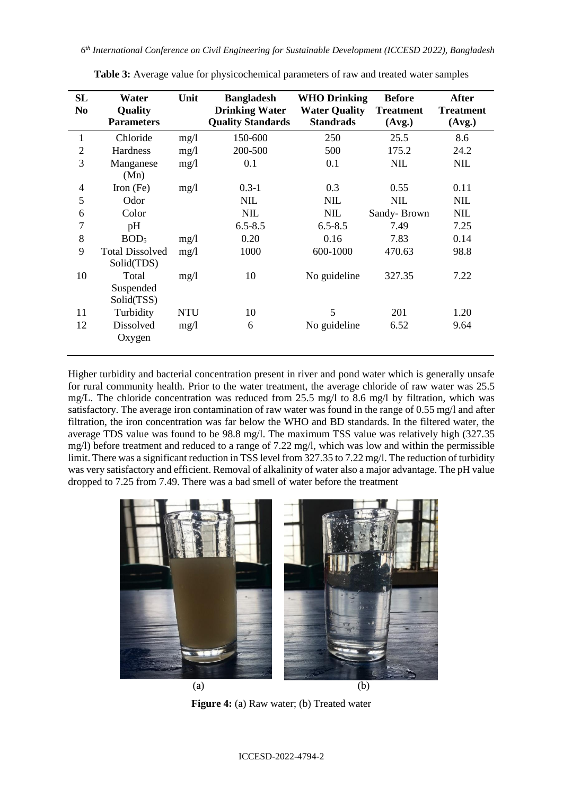| SL<br>N <sub>0</sub> | Water<br>Quality<br><b>Parameters</b> | Unit       | <b>Bangladesh</b><br><b>Drinking Water</b><br><b>Quality Standards</b> | <b>WHO Drinking</b><br><b>Water Quality</b><br><b>Standrads</b> | <b>Before</b><br><b>Treatment</b><br>(Avg.) | <b>After</b><br><b>Treatment</b><br>(Avg.) |
|----------------------|---------------------------------------|------------|------------------------------------------------------------------------|-----------------------------------------------------------------|---------------------------------------------|--------------------------------------------|
| $\mathbf{1}$         | Chloride                              | mg/1       | 150-600                                                                | 250                                                             | 25.5                                        | 8.6                                        |
| $\overline{2}$       | Hardness                              | mg/1       | 200-500                                                                | 500                                                             | 175.2                                       | 24.2                                       |
| 3                    | Manganese<br>(Mn)                     | mg/1       | 0.1                                                                    | 0.1                                                             | <b>NIL</b>                                  | NIL                                        |
| $\overline{4}$       | Iron $(Fe)$                           | mg/1       | $0.3 - 1$                                                              | 0.3                                                             | 0.55                                        | 0.11                                       |
| 5                    | Odor                                  |            | <b>NIL</b>                                                             | NIL                                                             | <b>NIL</b>                                  | <b>NIL</b>                                 |
| 6                    | Color                                 |            | <b>NIL</b>                                                             | NIL                                                             | Sandy-Brown                                 | NIL                                        |
| 7                    | pH                                    |            | $6.5 - 8.5$                                                            | $6.5 - 8.5$                                                     | 7.49                                        | 7.25                                       |
| 8                    | BOD <sub>5</sub>                      | mg/1       | 0.20                                                                   | 0.16                                                            | 7.83                                        | 0.14                                       |
| 9                    | <b>Total Dissolved</b><br>Solid(TDS)  | mg/1       | 1000                                                                   | 600-1000                                                        | 470.63                                      | 98.8                                       |
| 10                   | Total<br>Suspended<br>Solid(TSS)      | mg/1       | 10                                                                     | No guideline                                                    | 327.35                                      | 7.22                                       |
| 11                   | Turbidity                             | <b>NTU</b> | 10                                                                     | 5                                                               | 201                                         | 1.20                                       |
| 12                   | Dissolved<br>Oxygen                   | mg/1       | 6                                                                      | No guideline                                                    | 6.52                                        | 9.64                                       |

**Table 3:** Average value for physicochemical parameters of raw and treated water samples

Higher turbidity and bacterial concentration present in river and pond water which is generally unsafe for rural community health. Prior to the water treatment, the average chloride of raw water was 25.5 mg/L. The chloride concentration was reduced from 25.5 mg/l to 8.6 mg/l by filtration, which was satisfactory. The average iron contamination of raw water was found in the range of 0.55 mg/l and after filtration, the iron concentration was far below the WHO and BD standards. In the filtered water, the average TDS value was found to be 98.8 mg/l. The maximum TSS value was relatively high (327.35 mg/l) before treatment and reduced to a range of 7.22 mg/l, which was low and within the permissible limit. There was a significant reduction in TSS level from 327.35 to 7.22 mg/l. The reduction of turbidity was very satisfactory and efficient. Removal of alkalinity of water also a major advantage. The pH value dropped to 7.25 from 7.49. There was a bad smell of water before the treatment

![](_page_6_Picture_4.jpeg)

**Figure 4:** (a) Raw water; (b) Treated water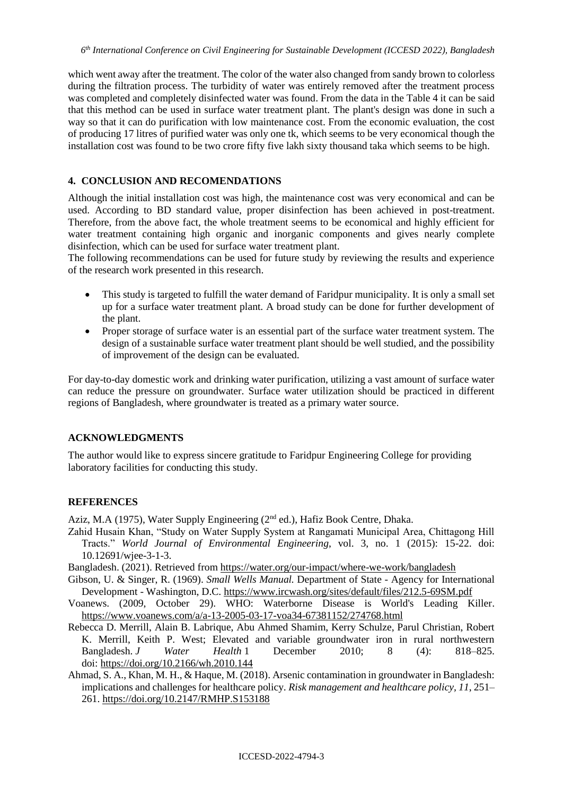which went away after the treatment. The color of the water also changed from sandy brown to colorless during the filtration process. The turbidity of water was entirely removed after the treatment process was completed and completely disinfected water was found. From the data in the Table 4 it can be said that this method can be used in surface water treatment plant. The plant's design was done in such a way so that it can do purification with low maintenance cost. From the economic evaluation, the cost of producing 17 litres of purified water was only one tk, which seems to be very economical though the installation cost was found to be two crore fifty five lakh sixty thousand taka which seems to be high.

### **4. CONCLUSION AND RECOMENDATIONS**

Although the initial installation cost was high, the maintenance cost was very economical and can be used. According to BD standard value, proper disinfection has been achieved in post-treatment. Therefore, from the above fact, the whole treatment seems to be economical and highly efficient for water treatment containing high organic and inorganic components and gives nearly complete disinfection, which can be used for surface water treatment plant.

The following recommendations can be used for future study by reviewing the results and experience of the research work presented in this research.

- This study is targeted to fulfill the water demand of Faridpur municipality. It is only a small set up for a surface water treatment plant. A broad study can be done for further development of the plant.
- Proper storage of surface water is an essential part of the surface water treatment system. The design of a sustainable surface water treatment plant should be well studied, and the possibility of improvement of the design can be evaluated.

For day-to-day domestic work and drinking water purification, utilizing a vast amount of surface water can reduce the pressure on groundwater. Surface water utilization should be practiced in different regions of Bangladesh, where groundwater is treated as a primary water source.

#### **ACKNOWLEDGMENTS**

The author would like to express sincere gratitude to Faridpur Engineering College for providing laboratory facilities for conducting this study.

### **REFERENCES**

Aziz, M.A (1975), Water Supply Engineering (2nd ed.), Hafiz Book Centre, Dhaka.

- Zahid Husain Khan, "Study on Water Supply System at Rangamati Municipal Area, Chittagong Hill Tracts." *World Journal of Environmental Engineering*, vol. 3, no. 1 (2015): 15-22. doi: 10.12691/wjee-3-1-3.
- Bangladesh. (2021). Retrieved from<https://water.org/our-impact/where-we-work/bangladesh>
- Gibson, U. & Singer, R. (1969). *Small Wells Manual.* Department of State Agency for International Development - Washington, D.C.<https://www.ircwash.org/sites/default/files/212.5-69SM.pdf>
- Voanews. (2009, October 29). WHO: Waterborne Disease is World's Leading Killer. <https://www.voanews.com/a/a-13-2005-03-17-voa34-67381152/274768.html>
- Rebecca D. Merrill, Alain B. Labrique, Abu Ahmed Shamim, Kerry Schulze, Parul Christian, Robert K. Merrill, Keith P. West; Elevated and variable groundwater iron in rural northwestern Bangladesh. *J Water Health* 1 December 2010; 8 (4): 818–825. doi: <https://doi.org/10.2166/wh.2010.144>
- Ahmad, S. A., Khan, M. H., & Haque, M. (2018). Arsenic contamination in groundwater in Bangladesh: implications and challenges for healthcare policy. *Risk management and healthcare policy, 11*, 251– 261.<https://doi.org/10.2147/RMHP.S153188>